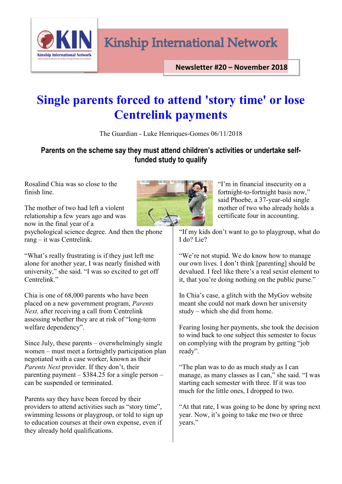

**Kinship International Network** 

**Newsletter #20 – November 2018**

## **Single parents forced to attend 'story time' or lose Centrelink payments**

The Guardian - [Luke Henriques-Gomes](https://www.theguardian.com/profile/luke-henriques-gomes) 06/11/2018

## **Parents on the scheme say they must attend children's activities or undertake selffunded stu[dy](https://www.theguardian.com/australia-news/2018/nov/06/single-parents-forced-to-attend-story-time-or-lose-centrelink-payments#img-1) to qualify**

Rosalind Chia was so close to the finish line.

The mother of two had left a violent relationship a few years ago and was now in the final year of a

psychological science degree. And then the phone rang – it was Centrelink.

"What's really frustrating is if they just left me alone for another year, I was nearly finished with university," she said. "I was so excited to get off Centrelink."

Chia is one of 68,000 parents who have been placed on [a new government program,](https://www.jobs.gov.au/parentsnext) *Parents [Next,](https://www.jobs.gov.au/parentsnext)* after receiving a call from Centrelink assessing whether they are at risk of "long-term welfare dependency".

Since July, these parents – overwhelmingly single women – must meet a fortnightly participation plan negotiated with a case worker, known as their *Parents Next* provider. If they don't, their parenting payment –  $$384.25$  for a single person – can be suspended or terminated.

Parents say they have been forced by their providers to attend activities such as "story time", swimming lessons or playgroup, or told to sign up to education courses at their own expense, even if they already hold qualifications.



"I'm in financial insecurity on a fortnight-to-fortnight basis now," said Phoebe, a 37-year-old single mother of two who already holds a certificate four in accounting.

"If my kids don't want to go to playgroup, what do I do? Lie?

"We're not stupid. We do know how to manage our own lives. I don't think [parenting] should be devalued. I feel like there's a real sexist element to it, that you're doing nothing on the public purse."

In Chia's case, a glitch with the MyGov website meant she could not mark down her university study – which she did from home.

Fearing losing her payments, she took the decision to wind back to one subject this semester to focus on complying with the program by getting "job ready".

"The plan was to do as much study as I can manage, as many classes as I can," she said. "I was starting each semester with three. If it was too much for the little ones, I dropped to two.

"At that rate, I was going to be done by spring next year. Now, it's going to take me two or three years."